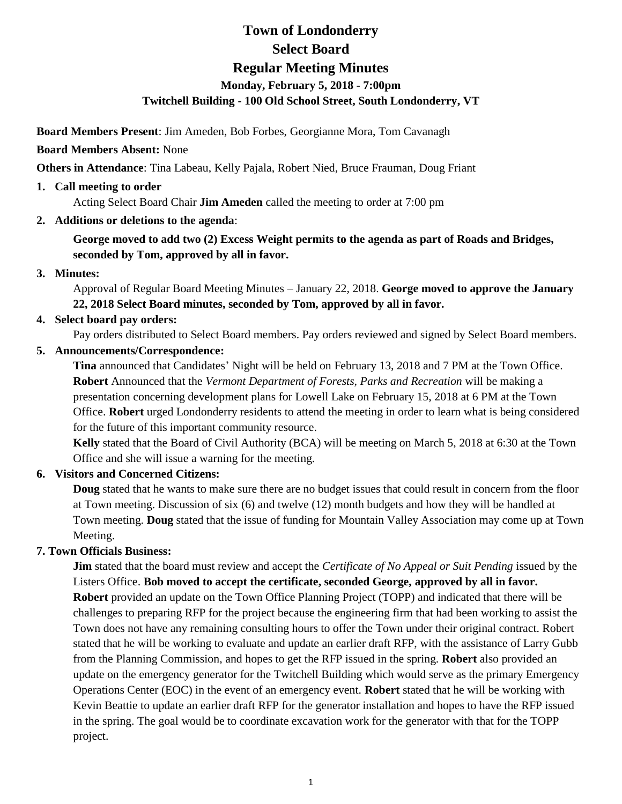# **Town of Londonderry Select Board Regular Meeting Minutes Monday, February 5, 2018 - 7:00pm Twitchell Building - 100 Old School Street, South Londonderry, VT**

**Board Members Present**: Jim Ameden, Bob Forbes, Georgianne Mora, Tom Cavanagh

# **Board Members Absent:** None

**Others in Attendance**: Tina Labeau, Kelly Pajala, Robert Nied, Bruce Frauman, Doug Friant

**1. Call meeting to order**

Acting Select Board Chair **Jim Ameden** called the meeting to order at 7:00 pm

**2. Additions or deletions to the agenda**:

**George moved to add two (2) Excess Weight permits to the agenda as part of Roads and Bridges, seconded by Tom, approved by all in favor.**

# **3. Minutes:**

Approval of Regular Board Meeting Minutes – January 22, 2018. **George moved to approve the January 22, 2018 Select Board minutes, seconded by Tom, approved by all in favor.** 

# **4. Select board pay orders:**

Pay orders distributed to Select Board members. Pay orders reviewed and signed by Select Board members.

**5. Announcements/Correspondence:** 

**Tina** announced that Candidates' Night will be held on February 13, 2018 and 7 PM at the Town Office. **Robert** Announced that the *Vermont Department of Forests, Parks and Recreation* will be making a presentation concerning development plans for Lowell Lake on February 15, 2018 at 6 PM at the Town Office. **Robert** urged Londonderry residents to attend the meeting in order to learn what is being considered for the future of this important community resource.

**Kelly** stated that the Board of Civil Authority (BCA) will be meeting on March 5, 2018 at 6:30 at the Town Office and she will issue a warning for the meeting.

# **6. Visitors and Concerned Citizens:**

**Doug** stated that he wants to make sure there are no budget issues that could result in concern from the floor at Town meeting. Discussion of six (6) and twelve (12) month budgets and how they will be handled at Town meeting. **Doug** stated that the issue of funding for Mountain Valley Association may come up at Town Meeting.

# **7. Town Officials Business:**

**Jim** stated that the board must review and accept the *Certificate of No Appeal or Suit Pending* issued by the Listers Office. **Bob moved to accept the certificate, seconded George, approved by all in favor. Robert** provided an update on the Town Office Planning Project (TOPP) and indicated that there will be challenges to preparing RFP for the project because the engineering firm that had been working to assist the Town does not have any remaining consulting hours to offer the Town under their original contract. Robert stated that he will be working to evaluate and update an earlier draft RFP, with the assistance of Larry Gubb from the Planning Commission, and hopes to get the RFP issued in the spring. **Robert** also provided an update on the emergency generator for the Twitchell Building which would serve as the primary Emergency Operations Center (EOC) in the event of an emergency event. **Robert** stated that he will be working with Kevin Beattie to update an earlier draft RFP for the generator installation and hopes to have the RFP issued in the spring. The goal would be to coordinate excavation work for the generator with that for the TOPP project.